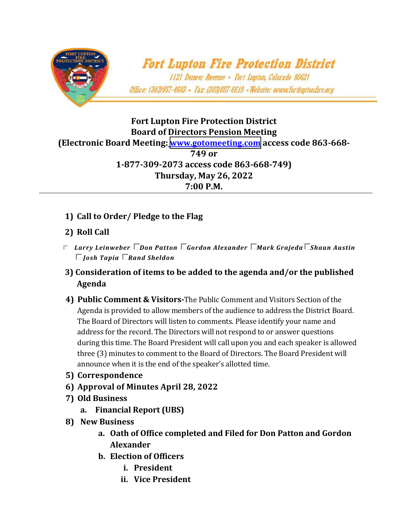

## **Fort Lupton Fire Protection District Board of Directors Pension Meeting (Electronic Board Meeting: [www.gotomeeting.com](https://www.gotomeet.me/FtLuptonFire/pension-and-district-board-meeting-room) access code 863-668- 749 or 1-877-309-2073 access code 863-668-749) Thursday, May 26, 2022 7:00 P.M.**

- **1) Call to Order/ Pledge to the Flag**
- **2) Roll Call**
- *Larry Leinweber Don Patton Gordon Alexander Mark Grajeda Shaun Austin Josh Tapia Rand Sheldon*
- **3) Consideration of items to be added to the agenda and/or the published Agenda**
- **4) Public Comment & Visitors-**The Public Comment and Visitors Section of the Agenda is provided to allow members of the audience to address the District Board. The Board of Directors will listen to comments. Please identify your name and address for the record. The Directors will not respond to or answer questions during this time. The Board President will call upon you and each speaker is allowed three (3) minutes to comment to the Board of Directors. The Board President will announce when it is the end of the speaker's allotted time.
- **5) Correspondence**
- **6) Approval of Minutes April 28, 2022**
- **7) Old Business**
	- **a. Financial Report (UBS)**
- **8) New Business**
	- **a. Oath of Office completed and Filed for Don Patton and Gordon Alexander**
	- **b. Election of Officers**
		- **i. President**
		- **ii. Vice President**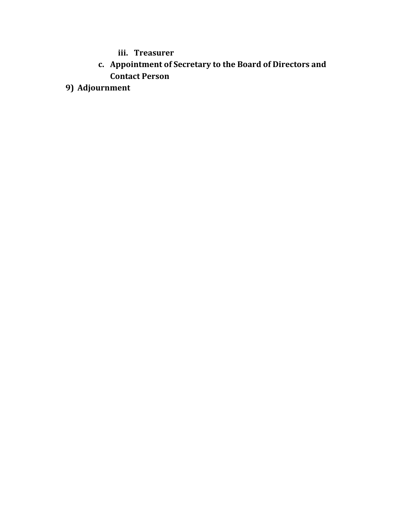**iii. Treasurer**

- **c. Appointment of Secretary to the Board of Directors and Contact Person**
- **9) Adjournment**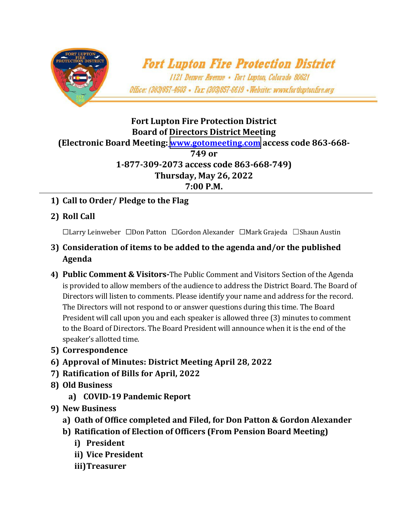

## **Fort Lupton Fire Protection District Board of Directors District Meeting (Electronic Board Meeting: [www.gotomeeting.com](https://www.gotomeet.me/FtLuptonFire/pension-and-district-board-meeting-room) access code 863-668- 749 or 1-877-309-2073 access code 863-668-749) Thursday, May 26, 2022 7:00 P.M.**

- **1) Call to Order/ Pledge to the Flag**
- **2) Roll Call**

☐Larry Leinweber ☐Don Patton ☐Gordon Alexander ☐Mark Grajeda ☐Shaun Austin

- **3) Consideration of items to be added to the agenda and/or the published Agenda**
- **4) Public Comment & Visitors-**The Public Comment and Visitors Section of the Agenda is provided to allow members of the audience to address the District Board. The Board of Directors will listen to comments. Please identify your name and address for the record. The Directors will not respond to or answer questions during this time. The Board President will call upon you and each speaker is allowed three (3) minutes to comment to the Board of Directors. The Board President will announce when it is the end of the speaker's allotted time.
- **5) Correspondence**
- **6) Approval of Minutes: District Meeting April 28, 2022**
- **7) Ratification of Bills for April, 2022**
- **8) Old Business**
	- **a) COVID-19 Pandemic Report**
- **9) New Business** 
	- **a) Oath of Office completed and Filed, for Don Patton & Gordon Alexander**
	- **b) Ratification of Election of Officers (From Pension Board Meeting)**
		- **i) President**
		- **ii) Vice President**
		- **iii)Treasurer**